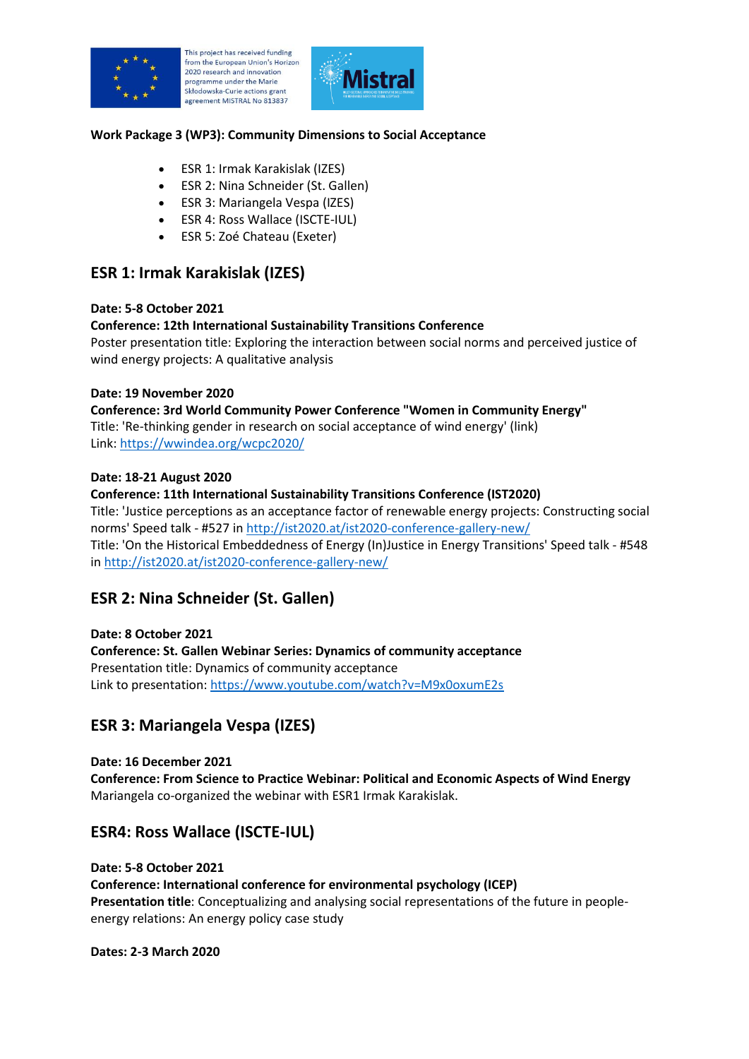

This project has received funding from the European Union's Horizon 2020 research and innovation programme under the Marie Skłodowska-Curie actions grant agreement MISTRAL No 813837



# **Work Package 3 (WP3): Community Dimensions to Social Acceptance**

- ESR 1: Irmak Karakislak (IZES)
- ESR 2: Nina Schneider (St. Gallen)
- ESR 3: Mariangela Vespa (IZES)
- ESR 4: Ross Wallace (ISCTE-IUL)
- ESR 5: Zoé Chateau (Exeter)

# **ESR 1: Irmak Karakislak (IZES)**

#### **Date: 5-8 October 2021**

# **Conference: 12th International Sustainability Transitions Conference**

Poster presentation title: Exploring the interaction between social norms and perceived justice of wind energy projects: A qualitative analysis

#### **Date: 19 November 2020**

**Conference: 3rd World Community Power Conference "Women in Community Energy"** Title: 'Re-thinking gender in research on social acceptance of wind energy' (link) Link:<https://wwindea.org/wcpc2020/>

#### **Date: 18-21 August 2020**

**Conference: 11th International Sustainability Transitions Conference (IST2020)** Title: 'Justice perceptions as an acceptance factor of renewable energy projects: Constructing social norms' Speed talk - #527 in<http://ist2020.at/ist2020-conference-gallery-new/> Title: 'On the Historical Embeddedness of Energy (In)Justice in Energy Transitions' Speed talk - #548 in<http://ist2020.at/ist2020-conference-gallery-new/>

# **ESR 2: Nina Schneider (St. Gallen)**

#### **Date: 8 October 2021**

**Conference: St. Gallen Webinar Series: Dynamics of community acceptance** Presentation title: Dynamics of community acceptance Link to presentation:<https://www.youtube.com/watch?v=M9x0oxumE2s>

# **ESR 3: Mariangela Vespa (IZES)**

**Date: 16 December 2021 Conference: From Science to Practice Webinar: Political and Economic Aspects of Wind Energy** Mariangela co-organized the webinar with ESR1 Irmak Karakislak.

# **ESR4: Ross Wallace (ISCTE-IUL)**

**Date: 5-8 October 2021 Conference: International conference for environmental psychology (ICEP) Presentation title**: Conceptualizing and analysing social representations of the future in peopleenergy relations: An energy policy case study

#### **Dates: 2-3 March 2020**